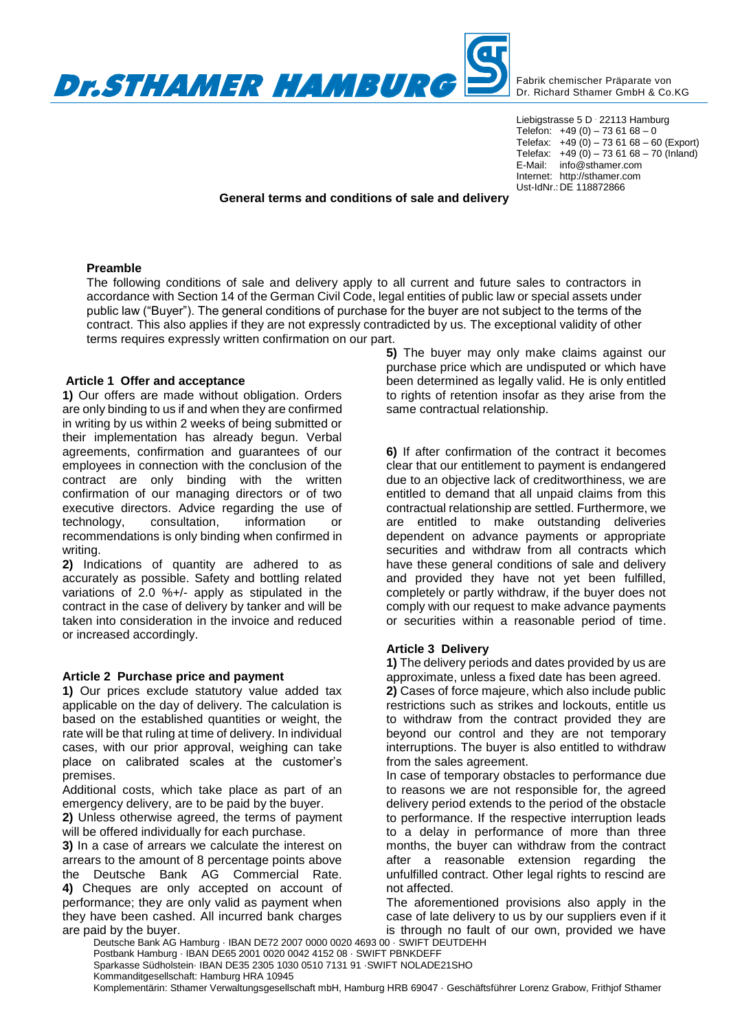

Fabrik chemischer Präparate von Dr. Richard Sthamer GmbH & Co.KG

Liebigstrasse 5 D . 22113 Hamburg Telefon:  $+49(0) - 736168 - 0$ Telefax:  $+49(0) - 736168 - 60$  (Export) Telefax:  $+49(0) - 736168 - 70(hland)$ E-Mail: info@sthamer.com Internet: http://sthamer.com Ust-IdNr.:DE 118872866

# **General terms and conditions of sale and delivery**

# **Preamble**

The following conditions of sale and delivery apply to all current and future sales to contractors in accordance with Section 14 of the German Civil Code, legal entities of public law or special assets under public law ("Buyer"). The general conditions of purchase for the buyer are not subject to the terms of the contract. This also applies if they are not expressly contradicted by us. The exceptional validity of other terms requires expressly written confirmation on our part.

# **Article 1 Offer and acceptance**

**1)** Our offers are made without obligation. Orders are only binding to us if and when they are confirmed in writing by us within 2 weeks of being submitted or their implementation has already begun. Verbal agreements, confirmation and guarantees of our employees in connection with the conclusion of the contract are only binding with the written confirmation of our managing directors or of two executive directors. Advice regarding the use of technology, consultation, information or recommendations is only binding when confirmed in writing.

**2)** Indications of quantity are adhered to as accurately as possible. Safety and bottling related variations of 2.0 %+/- apply as stipulated in the contract in the case of delivery by tanker and will be taken into consideration in the invoice and reduced or increased accordingly.

### **Article 2 Purchase price and payment**

**1)** Our prices exclude statutory value added tax applicable on the day of delivery. The calculation is based on the established quantities or weight, the rate will be that ruling at time of delivery. In individual cases, with our prior approval, weighing can take place on calibrated scales at the customer's premises.

Additional costs, which take place as part of an emergency delivery, are to be paid by the buyer.

**2)** Unless otherwise agreed, the terms of payment will be offered individually for each purchase.

**3)** In a case of arrears we calculate the interest on arrears to the amount of 8 percentage points above the Deutsche Bank AG Commercial Rate. **4)** Cheques are only accepted on account of performance; they are only valid as payment when they have been cashed. All incurred bank charges are paid by the buyer.

**5)** The buyer may only make claims against our purchase price which are undisputed or which have been determined as legally valid. He is only entitled to rights of retention insofar as they arise from the same contractual relationship.

**6)** If after confirmation of the contract it becomes clear that our entitlement to payment is endangered due to an objective lack of creditworthiness, we are entitled to demand that all unpaid claims from this contractual relationship are settled. Furthermore, we are entitled to make outstanding deliveries dependent on advance payments or appropriate securities and withdraw from all contracts which have these general conditions of sale and delivery and provided they have not yet been fulfilled, completely or partly withdraw, if the buyer does not comply with our request to make advance payments or securities within a reasonable period of time.

### **Article 3 Delivery**

**1)** The delivery periods and dates provided by us are approximate, unless a fixed date has been agreed.

**2)** Cases of force majeure, which also include public restrictions such as strikes and lockouts, entitle us to withdraw from the contract provided they are beyond our control and they are not temporary interruptions. The buyer is also entitled to withdraw from the sales agreement.

In case of temporary obstacles to performance due to reasons we are not responsible for, the agreed delivery period extends to the period of the obstacle to performance. If the respective interruption leads to a delay in performance of more than three months, the buyer can withdraw from the contract after a reasonable extension regarding the unfulfilled contract. Other legal rights to rescind are not affected.

The aforementioned provisions also apply in the case of late delivery to us by our suppliers even if it is through no fault of our own, provided we have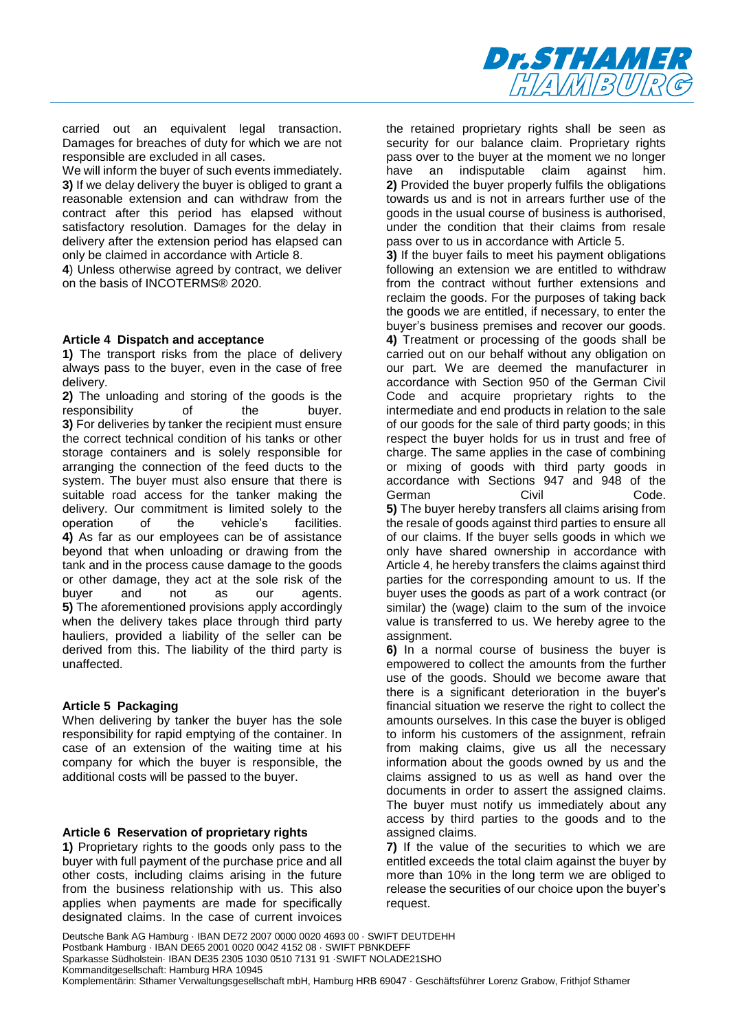

carried out an equivalent legal transaction. Damages for breaches of duty for which we are not responsible are excluded in all cases.

We will inform the buyer of such events immediately. **3)** If we delay delivery the buyer is obliged to grant a reasonable extension and can withdraw from the contract after this period has elapsed without satisfactory resolution. Damages for the delay in delivery after the extension period has elapsed can only be claimed in accordance with Article 8.

**4**) Unless otherwise agreed by contract, we deliver on the basis of INCOTERMS® 2020.

#### **Article 4 Dispatch and acceptance**

**1)** The transport risks from the place of delivery always pass to the buyer, even in the case of free delivery.

**2)** The unloading and storing of the goods is the responsibility of the buyer. **3)** For deliveries by tanker the recipient must ensure the correct technical condition of his tanks or other storage containers and is solely responsible for arranging the connection of the feed ducts to the system. The buyer must also ensure that there is suitable road access for the tanker making the delivery. Our commitment is limited solely to the operation of the vehicle's facilities. **4)** As far as our employees can be of assistance beyond that when unloading or drawing from the tank and in the process cause damage to the goods or other damage, they act at the sole risk of the buyer and not as our agents. **5)** The aforementioned provisions apply accordingly when the delivery takes place through third party hauliers, provided a liability of the seller can be derived from this. The liability of the third party is unaffected.

### **Article 5 Packaging**

When delivering by tanker the buyer has the sole responsibility for rapid emptying of the container. In case of an extension of the waiting time at his company for which the buyer is responsible, the additional costs will be passed to the buyer.

### **Article 6 Reservation of proprietary rights**

**1)** Proprietary rights to the goods only pass to the buyer with full payment of the purchase price and all other costs, including claims arising in the future from the business relationship with us. This also applies when payments are made for specifically designated claims. In the case of current invoices

the retained proprietary rights shall be seen as security for our balance claim. Proprietary rights pass over to the buyer at the moment we no longer have an indisputable claim against him. **2)** Provided the buyer properly fulfils the obligations towards us and is not in arrears further use of the goods in the usual course of business is authorised, under the condition that their claims from resale pass over to us in accordance with Article 5.

**3)** If the buyer fails to meet his payment obligations following an extension we are entitled to withdraw from the contract without further extensions and reclaim the goods. For the purposes of taking back the goods we are entitled, if necessary, to enter the buyer's business premises and recover our goods. **4)** Treatment or processing of the goods shall be carried out on our behalf without any obligation on our part. We are deemed the manufacturer in accordance with Section 950 of the German Civil Code and acquire proprietary rights to the intermediate and end products in relation to the sale of our goods for the sale of third party goods; in this respect the buyer holds for us in trust and free of charge. The same applies in the case of combining or mixing of goods with third party goods in accordance with Sections 947 and 948 of the German Civil Code. **5)** The buyer hereby transfers all claims arising from the resale of goods against third parties to ensure all of our claims. If the buyer sells goods in which we only have shared ownership in accordance with Article 4, he hereby transfers the claims against third parties for the corresponding amount to us. If the buyer uses the goods as part of a work contract (or similar) the (wage) claim to the sum of the invoice value is transferred to us. We hereby agree to the assignment.

**6)** In a normal course of business the buyer is empowered to collect the amounts from the further use of the goods. Should we become aware that there is a significant deterioration in the buyer's financial situation we reserve the right to collect the amounts ourselves. In this case the buyer is obliged to inform his customers of the assignment, refrain from making claims, give us all the necessary information about the goods owned by us and the claims assigned to us as well as hand over the documents in order to assert the assigned claims. The buyer must notify us immediately about any access by third parties to the goods and to the assigned claims.

**7)** If the value of the securities to which we are entitled exceeds the total claim against the buyer by more than 10% in the long term we are obliged to release the securities of our choice upon the buyer's request.

Deutsche Bank AG Hamburg · IBAN DE72 2007 0000 0020 4693 00 · SWIFT DEUTDEHH Postbank Hamburg · IBAN DE65 2001 0020 0042 4152 08 · SWIFT PBNKDEFF Sparkasse Südholstein· IBAN DE35 2305 1030 0510 7131 91 ·SWIFT NOLADE21SHO Kommanditgesellschaft: Hamburg HRA 10945 Komplementärin: Sthamer Verwaltungsgesellschaft mbH, Hamburg HRB 69047 · Geschäftsführer Lorenz Grabow, Frithjof Sthamer